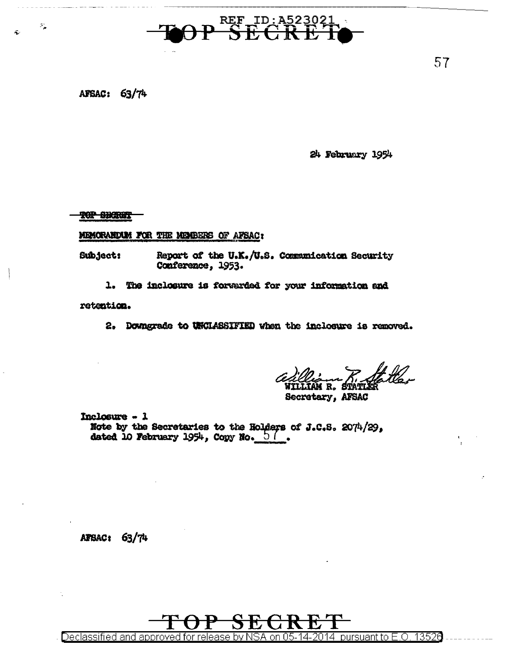

## AFSAC: 63/74

 $\mathcal{P}_\mathbf{a}$ 

Ŕ.

24 February 1954

**TOP GENERAL** 

MEMORANDUM FOR THE MEMBERS OF AFSAC:

Report of the U.K./U.S. Communication Security Subject: Conference, 1953.

1. The inclosure is forwarded for your information and

retention.

2. Downgrade to UNCLASSIFIED when the inclosure is removed.

Secretary, AFSAC

Inclosure - 1 Note by the Secretaries to the Holders of J.C.S. 2074/29, dated 10 February 1954, Copy No.  $\frac{5}{6}$ .

AFBAC: 63/74

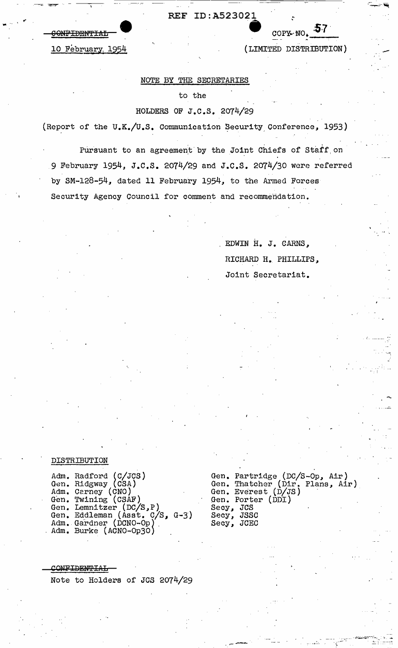**CONFIDENTIAL** 

10 February, 1954

## (LIMITED DISTRIBUTION)

COPY NO.  $57$ 

## NOTE BY THE SECRETARIES

## to the

## HOLDERS OF J.C.S. 2074/29

(Report of the U.K./U.S. Communication Security Conference, 1953)

Pursuant to an agreement by the Joint Chiefs of Staff on 9 February 1954, J.C.S. 2074/29 and J.C.S. 2074/30 were referred by SM-128-54, dated 11 February 1954, to the Armed Forces Security Agency Council for comment and recommendation.

> EDWIN H. J. CARNS. RICHARD H. PHILLIPS, Joint Secretariat.

## DISTRIBUTION

Adm. Radford (C/JCS)<br>Gen. Ridgway (CSA)<br>Adm. Carney (CNO)<br>Gen. Twining (CSAF)<br>Gen. Lemnitzer (DC/S,P)<br>Gen. Eddleman (Asst. C/S, G-3)<br>Adm. Gardner (DCNO-Op)<br>Adm. Burke (ACNO-Op3O)

Gen. Partridge (DC/S-Op, Air)<br>Gen. Thatcher (Dir. Plans, Air)<br>Gen. Everest (D/JS) Gen. Porter (DDI) Secy, JCS Secy, JSSC<br>Secy, JCEC

CONFIDENTIAL Note to Holders of JCS 2074/29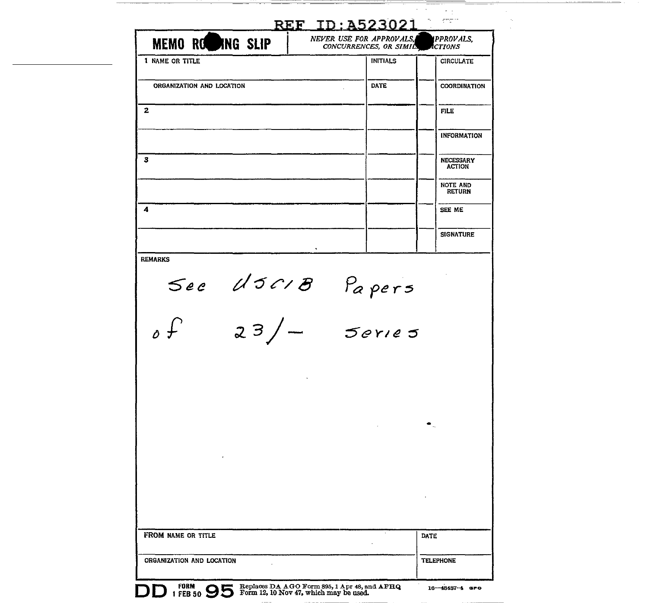| <b>MEMO ROWING SLIP</b>   | NEVER USE FOR APPROVALS,<br>CONCURRENCES, OR SIMILS | PPROVALS,<br><b>CTIONS</b> |
|---------------------------|-----------------------------------------------------|----------------------------|
| 1 NAME OR TITLE           | <b>INITIALS</b>                                     | <b>CIRCULATE</b>           |
| ORGANIZATION AND LOCATION | DATE                                                | <b>COORDINATION</b>        |
| 2                         |                                                     | <b>FILE</b>                |
|                           |                                                     | <b>INFORMATION</b>         |
| 3                         |                                                     | NECESSARY<br><b>ACTION</b> |
|                           |                                                     | NOTE AND<br><b>RETURN</b>  |
| 4                         |                                                     | SEE ME                     |
|                           |                                                     | <b>SIGNATURE</b>           |
| <b>REMARKS</b>            |                                                     |                            |
|                           | See USCIB Papers                                    |                            |
| 23<br>↓ ہ                 | Jeries                                              |                            |
|                           |                                                     |                            |
|                           |                                                     |                            |
|                           |                                                     |                            |
|                           |                                                     |                            |
|                           |                                                     |                            |
|                           |                                                     |                            |
|                           |                                                     |                            |
|                           |                                                     |                            |
| FROM NAME OR TITLE        |                                                     | DATE                       |

 $\begin{tabular}{ccccccccc} \multicolumn{2}{c|}{\textbf{1} & \textbf{2} & \textbf{3} & \textbf{4} & \textbf{5} & \textbf{5} & \textbf{6} & \textbf{6} & \textbf{7} & \textbf{8} & \textbf{8} & \textbf{9} & \textbf{10} & \textbf{10} & \textbf{10} & \textbf{10} & \textbf{10} & \textbf{10} & \textbf{10} & \textbf{10} & \textbf{10} & \textbf{10} & \textbf{10} & \textbf{10} & \textbf{10} & \textbf{10} & \textbf{$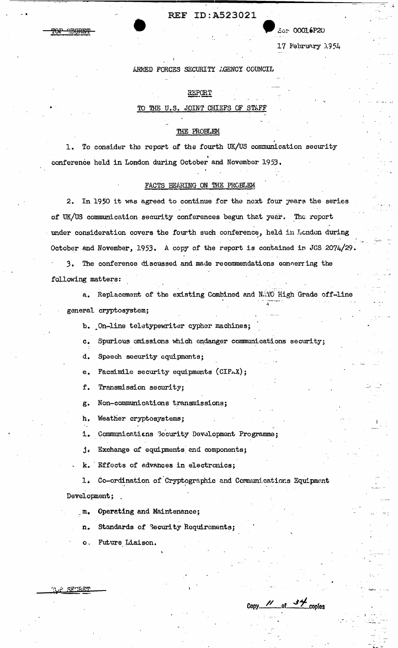Ser 00016P20

17 February 1954

ARMED FORCES SECURITY AGENCY COUNCIL

## REPORT

#### JOINT CHIEFS OF STA TO THE U.S.

## THE PROBLEM

To consider the report of the fourth UK/US communication security  $\mathbf{L}$ conference held in London during October and November 1953.

## FACTS BEARING ON THE PROBLEM

In 1950 it was agreed to continue for the next four years the series  $2.$ of UK/US communication security conferences begun that year. The report under consideration covers the fourth such conference, held in London during October and November, 1953. A copy of the report is contained in JCS 2074/29.

3. The conference discussed and made recommendations concerning the following matters:

a. Replacement of the existing Combined and NATO High Grade off-line

general cryptosystem;

ستصصف

b. On-line teletypewriter cypher machines;

Spurious emissions which endanger communications security;  $c<sub>1</sub>$ 

d. Speech security equipments;

Facsimile security equipments (CIF-X);  $e_{\bullet}$ 

Transmission security; f.

Non-communications transmissions; g.

Weather cryptosystems; h.

Communications Security Development Programme; i.

 $\mathbf{j}$ . Exchange of equipments and components;

Effects of advances in electronics; k.

Co-ordination of Cryptographic and Communications Equipment  $1.$ Development;

Operating and Maintenance;  $\mathbf{m}_{\bullet}$ 

Standards of Security Requirements; n.

Future Liaison.  $\circ$  .

<u>F SFORET</u>

Copy  $\frac{1}{\sqrt{1-\omega^2}}$  of  $\frac{34}{\sqrt{1-\omega^2}}$  copies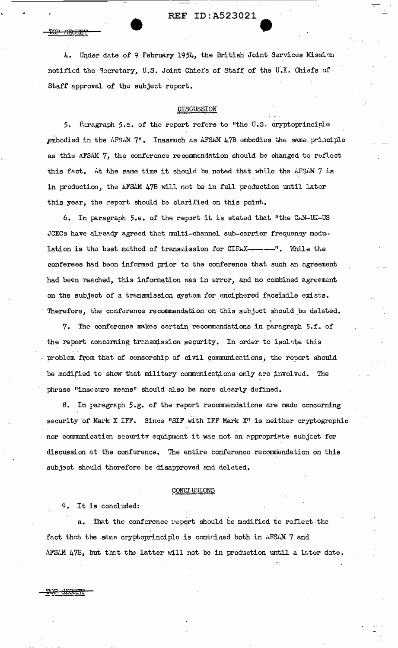4. Under date of 9 February 1954, the British Joint Services Mission notified the Secretary, U.S. Joint Chiefs of Staff of the U.K. Chiefs of Staff approval of the subject report.

## DISCUSSION

5. Paragraph 5.a. of the report refers to "the U.S. cryptoprinciple embodied in the AFSAM 7". Inasmuch as AFSAM 47B embodies the same principle as this AFSAM 7, the conference recommondation should be changed to reflect this fact. At the same time it should be noted that while the AFSAM 7 is in production, the AFSAM 47B will not be in full production until later this year, the report should be clarified on this point.

6. In paragraph 5.e. of the repert it is stated that "the CAN-UL-US JCECs have already agreed that multi-channel sub-carrier frequency modulation is the best method of transmission for CIFAX-------". While the conferees had been informed prior to the conference that such an agreement had been reached, this information was in error, and no combined agreement on the subject of a transmission system for enciphered facsimile exists. Therefore, the conference recommendation on this subject should be deleted.

7. The conference makes certain recommendations in paragraph 5.f. of the report concerning transmission security. In order to isolate this problem from that of censorship of civil communications, the report should be modified to show that military communications only are involved. The phrase "insecure means" should also be more clearly defined.

8. In paragraph 5.g. of the report recommendations are made concerning security of Mark X IFF. Since "SIF with IFF Mark X" is neither cryptographic nor communication security equipment it was not an appropriate subject for discussion at the conference. The entire conference recommendation on this subject should therefore be disapproved and deleted.

## CONCI-USIONS

9. It is concluded:

POP SHORL

a. That the conference report should be modified to reflect the fact that the same cryptoprinciple is contained both in AFSAM 7 and AFSAM 47B, but that the latter will not be in production until a later date.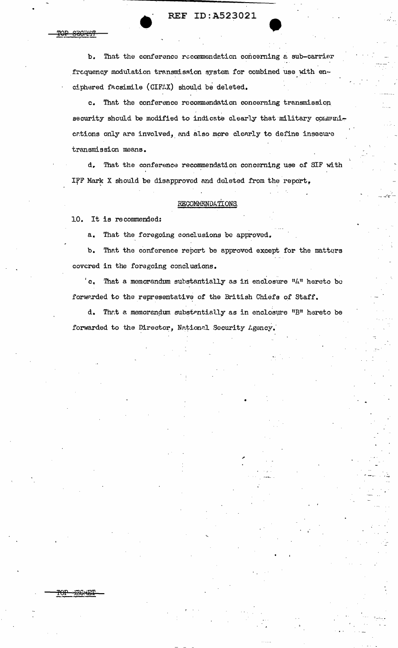•• REF ID:A523021

b. That the conference recommendation concerning a sub-carrier frequency modulation transmission system for combined use with enciphered facsimile (CIFAX) should be deleted.

c. That the conference recommendation concerning transmission security should be modified to indicate clearly that military communications only are involved, and also more clearly to define insecure transmission means.

d. That the conference recommendation concerning use of SIF with IFF Mark X should be disapproved and doleted from the report,

## RECOMMENDATIONS.

10. It is recommended:

<del>SEC 251</del>

POP :EG : ET

a. That the foregoing conclusions be approved.

b. That the conference report be approved except for the matters covered in the foregoing conclusions.

 $c$ . That a memorandum substantially as in enclosure  $"A"$  hereto be forwarded to the representative of the British Chiefs of Staff.

d. That a memorendum substantially as in enclosure "B" hereto be forwarded to the Director, National Security Agency.

•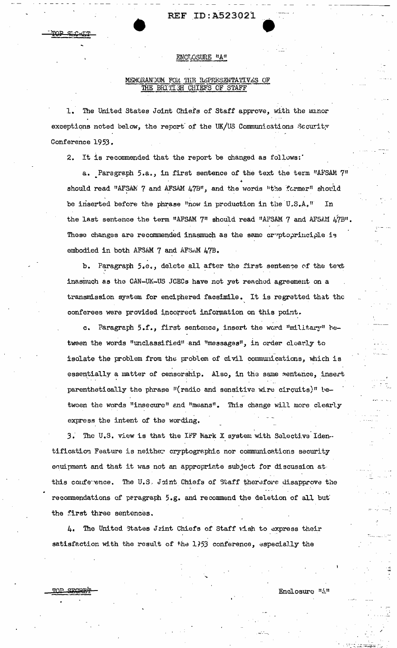<u>mon eroprim</u>

### ENCLOSURE "A"

### MEMORANDUM FOR THE REPRESENTATIVES OF THE BRITISH CHIEFS OF STAFF

1. The United States Joint Chiefs of Staff approve, with the minor exceptions noted below, the report of the UK/US Communications Security Conference 1953.

2. It is recommended that the report be changed as follows:

a. Paragraph 5.a., in first sentence of the text the term "AFSAM 7" should read "AFSAN 7 and AFSAM 47B", and the words "the former" should be inserted before the phrase "now in production in the U.S.A." In the last sentence the term "AFSAM 7" should read "AFSAM 7 and AFSAM 47B". These changes are recommended inasmuch as the same cryptoprinciple is embodied in both AFSAM 7 and AFSAM 47B.

Paragraph 5.e., delete all after the first sentence of the text  $b$ . inasmuch as the CAN-UK-US JCECs have not yet reached agreement on a transmission system for enciphered facsimile. It is regretted that the conferees were provided incorrect information on this point.

c. Paragraph 5.f., first sentence, insert the word "military" hetween the words "unclassified" and "messages", in order clearly to isolate the problem from the problem of civil communications, which is essentially a matter of censorship. Also, in the same sentence, insert parenthetically the phrase "(radio and sensitive wire circuits)" hetween the words "insecure" and "means". This change will more clearly express the intent of the wording.

3. The U.S. view is that the IFF Mark X system with Selective Identification Feature is neither cryptographic nor communications security equipment and that it was not an appropriate subject for discussion at this conference. The U.S. Joint Chiefs of Staff therefore disapprove the recommendations of peragraph 5.g. and recommend the deletion of all but the first three sentences.

4. The United States Jrint Chiefs of Staff wish to express their satisfaction with the result of the 1753 conference, especially the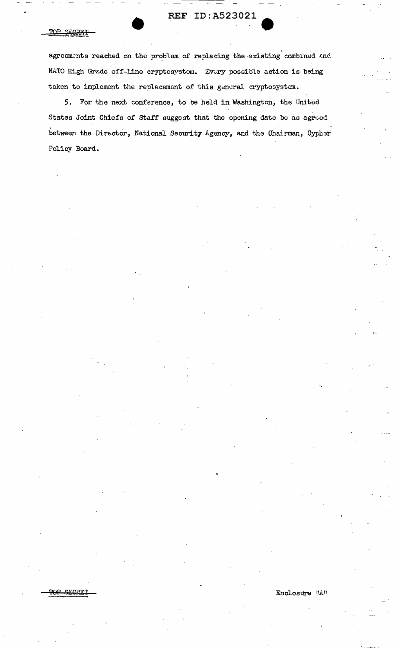#### TOP SECRET

agreements reached on the problem of replacing the existing combined and NATO High Grade off-line cryptosystem. Every possible action is being taken to implement the replacement of this general cryptosystem.

5. For the next conference, to be held in Washington, the United States Joint Chiefs of Staff suggest that the opening date be as agreed between the Director, National Security Agency, and the Chairman, Cyphor Policy Board.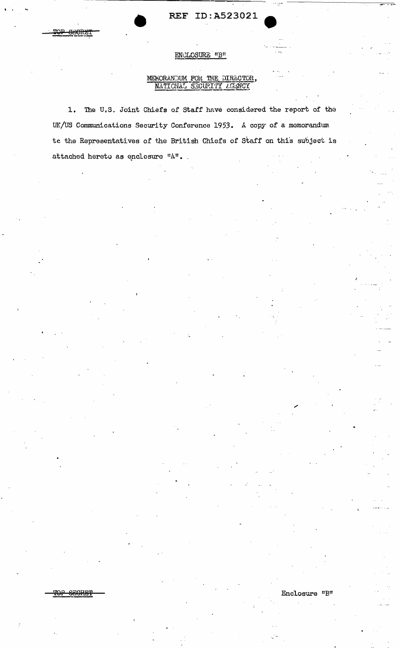## ENCLOSURE "B"

## MEMORANDUM FOR THE DIRECTOR, NATIONAL SECURITY AGANCY

The U.S. Joint Chiefs of Staff have considered the report of the  $1.$ UK/US Communications Security Conference 1953. A copy of a memorandum te the Representatives of the British Chiefs of Staff on this subject is attached hereto as enclosure "A".

Enclosure "B"

SECRET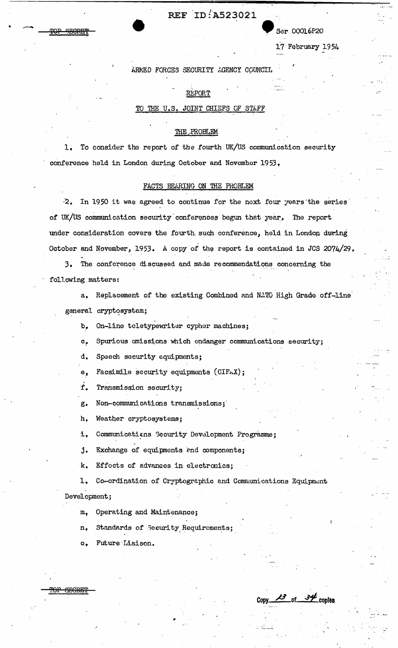Ser 00016P20

17 February 1954

**Copy** *P* **of .Sf copies** 

**ARMED FORCES SECURITY AGENCY COUNCIL** 

## •, REPORT

## TO THE U.S. JOINT CHIEFS OF STAFF

#### THE.PROBLEM

1. To consider the report of the fourth UK/US communication security conference held in London during October and November 1953,

## FACTS BEARING ON THE PROBLEM

2. In 1950 it was agreed to continue for the noxt four years the series of UK/US communication security conferences begun thet year. The report under consideration covers the fourth such conference, held in London during October and November, 1953. A copy of the report is contained in JCS 2074/29.

3. The conference discussed and made recommendations concerning the following.matters:

a. Replacement of the existing Combined and NATO High Grade off-line general cryptosystem;

b, On-line toletypewriter cypher machines;

c. Spurious emissions which endanger communications security;

d. Speech security equipments;

 $e_{n}$  Facsimile security equipments (CIFAX);

f Transmission security;

g. Non-communications transmissions;·

h, Weather cryptosystems;

i. Communications Security Development Programme;

j. Exchange of equipments end components;

k. Effects of advances in electronics;

1. Co-ordination of Cryptographic and Communications Equipment Development;

'<del>OP GEGRET</del>

•

**STRADE!** 

m, Operating and Maintenance;

Standards of Security Requirements; n.

..

Future Liaison.  $\circ$ .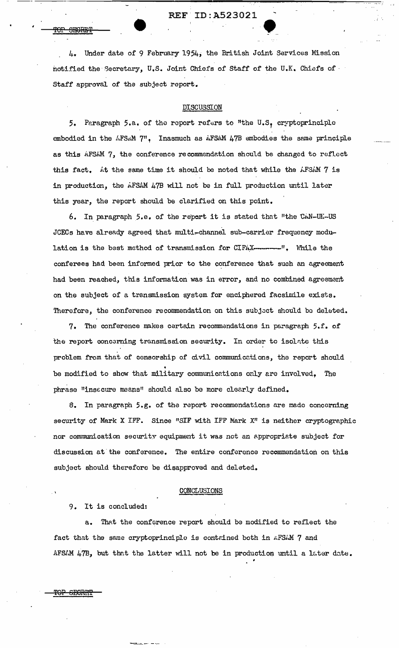REF'ID:A523021

REF ID:A523021<br>4. Under date of 9 February 1954, the British Joint Services Mission notified the Secretary, U.S. Joint Chiefs of Staff of the U.K. Chiefs of Staff approval of the subject report.

### DISCUSSION

5. Paragraph 5.a. of the report refers to "the U.S. cryptoprinciple embodied in the AFSAM 7", Inasmuch as AFSAM 47B embodies the same principle as this AFSAM 7, the conference recommendation should be changed to reflect this fact. At the same time it should be noted that while the  $AFSAM$   $7$  is in production, the AFSAM 47B will not be in full production until later this year, the report should be clarified on this point.

6. In paragraph 5.e. of the report it is stated that "the CAN-UK-US JCECs have already agreed that multi-channel sub-carrier frequency modulation is the best method of transmission for CIFAX--------". While the conferees had been informed prior to the conference that such an agreement had been reached, this information was in error, and no combined agreement on the subject of a transmission system for enciphered facsimile exists. Therefore, the conference recommendation on this subject should be deleted.

7. The conference makes certain recommendations in paragraph  $5.f.$  of the report concerning transmission security. In order to isolate this problem from that of censorship of civil communicctions, the report should be modified to show that military communications only are involved, The phrase "insecure means" should also be more clearly defined.

8. In paragraph 5.g. of the report recommendations are made concerning security of Mark X IFF. Since "SIF with IFF Mark X" is neither cryptographic nor communication security equipment it was not an appropriate subject for discussion at the conference. The entire conference recommendation on this subject should therefore be disapproved and deleted.

#### CONCLUSIONS

9. It is concluded:

-~~-:.-· -··.···

a. That the conference report should be modified to reflect the fact that the same cryptoprinciple is contained both in *AFSAM* 7 and AFSAM 47B, but that the latter will not be in production until a later date.

<del>SEGRIT</del>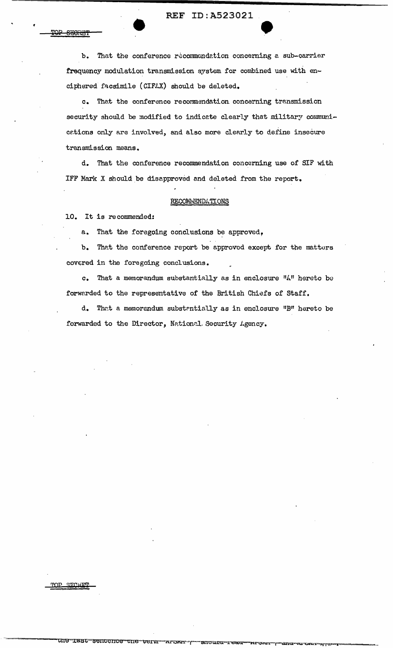$b_{\bullet}$ That the conference recommendation concerning a sub-carrier frequency modulation transmission system for combined use with enciphered facsimile (CIFAX) should be deleted.

c. That the conference recommendation concerning transmission security should be modified to indicate clearly that military communications only are involved, and also more clearly to define insecure transmission means.

d. That the conference recommendation concerning use of SIF with IFF Mark X should be disapproved and deleted from the report.

#### **RECOMMENDATIONS**

10. It is recommended:

**FOR SECRET** 

a. That the foregoing conclusions be approved,

b. That the conference report be approved except for the matters covered in the foregoing conclusions.

c. That a memorandum substantially as in enclosure "A" hereto be forwarded to the representative of the British Chiefs of Staff.

d. That a memorandum substantially as in enclosure "B" hereto be forwarded to the Director, National Security Agency.

TOP SECRET

une

Tast

sentence

י-י<mark>י</mark>

snoura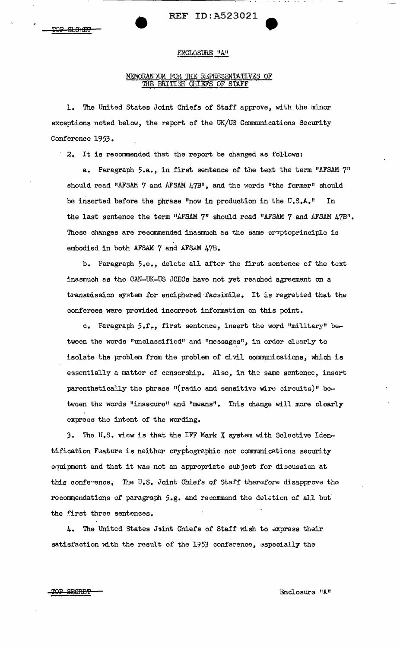## ENCLOSURE "A"

# MEMORANDUM FOR THE REPRESENTATIVES OF THE BRITISH CHIEFS OF STAFF

1. The United States Joint Chiefs of Staff approve, with the minor exceptions noted below, the report of the UK/US Communications Security Conference 1953.

· 2, It is recommended that the report be changed as follows:

a. Paragraph 5.a., in first sentence of the text the term "AFSAM 7" should read "AFSAM 7 and AFSAM 47B", and the words "the former" should be inserted before the phrase "now in production in the  $U.S.A.$ " In the last sentence the term "AFSAM  $7$ " should read "AFSAM  $7$  and AFSAM  $47B$ ". These changes are recommended inasmuch as the same cryptoprinciple is embodied in both AFSAM 7 and AFSAM 47B.

b. Paragraph 5.e,, delete all after the first sentence of the text inasmuch as the CAN-UK-US JCECs have not yet reached agreement on a transmission system for enciphered·facsimile. It is regretted that the conferees were provided incorrect information on this point.

c. Paragraph 5.f., first sentence, insert the word "military" between the words "unclassified" and "messages", in order clearly to isolate the problem from the problem of civil communications, which is essentially a matter of censorship. Also, in the same sentence, insert parenthetically the phrase "(radio and sensitive wire circuits)" between the words "insecure" and "means". This change will more clearly express the intent of the wording,

3. The U.S. view is that the IFF Mark X system with Selective Identification Feature is neither cryptographic nor communications security equipment and that it was not an appropriate subject for discussion at this conference. The U.S. Joint Chiefs of Staff therefore disapprove the recommendations of paragraph 5.g. and recommend the deletion of all but the first three sentences.

4. The United States Jint Chiefs of Staff wish to express their satisfaction with the result of the 1953 conference, especially the

TOP SECRET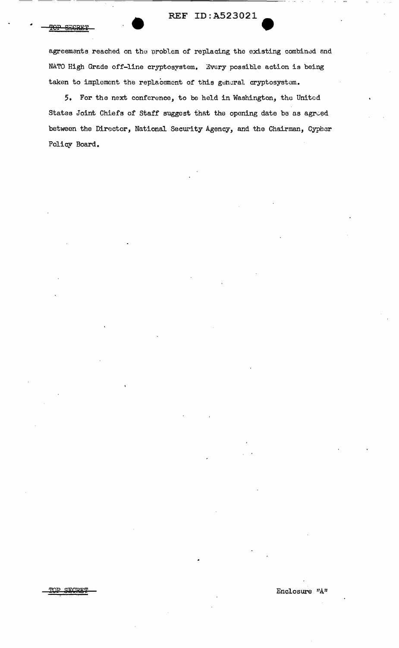agreements reached on the problem of replacing the existing combined and NATO High Grade off-line cryptosystem. Every possible action is being taken to implement the replacement of this general cryptosystem.

5. For the next conference, to be held in Washington, the United States Joint Chiefs of Staff suggest that the opening date be as agreed between the Director, National Security Agency, and the Chairman, Cypher Policy Board.